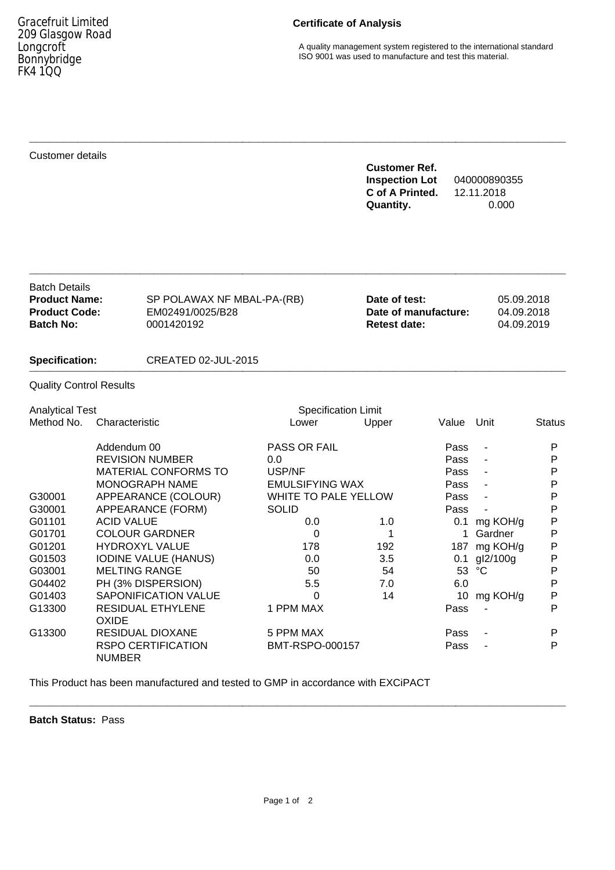# **Certificate of Analysis**

A quality management system registered to the international standard ISO 9001 was used to manufacture and test this material.

## Customer details

## **Customer Ref. Inspection Lot** 040000890355 **C of A Printed.** 12.11.2018 **Quantity.** 0.000

| <b>Batch Details</b> |                            |                      |            |
|----------------------|----------------------------|----------------------|------------|
| <b>Product Name:</b> | SP POLAWAX NF MBAL-PA-(RB) | Date of test:        | 05.09.2018 |
| <b>Product Code:</b> | EM02491/0025/B28           | Date of manufacture: | 04.09.2018 |
| <b>Batch No:</b>     | 0001420192                 | <b>Retest date:</b>  | 04.09.2019 |
|                      |                            |                      |            |

**\_\_\_\_\_\_\_\_\_\_\_\_\_\_\_\_\_\_\_\_\_\_\_\_\_\_\_\_\_\_\_\_\_\_\_\_\_\_\_\_\_\_\_\_\_\_\_\_\_\_\_\_\_\_\_\_\_\_\_\_\_\_\_\_\_\_\_\_\_\_\_\_\_\_\_\_\_\_**

**\_\_\_\_\_\_\_\_\_\_\_\_\_\_\_\_\_\_\_\_\_\_\_\_\_\_\_\_\_\_\_\_\_\_\_\_\_\_\_\_\_\_\_\_\_\_\_\_\_\_\_\_\_\_\_\_\_\_\_\_\_\_\_\_\_\_\_\_\_\_\_\_\_\_\_\_\_\_**

#### **Specification:** CREATED 02-JUL-2015 **\_\_\_\_\_\_\_\_\_\_\_\_\_\_\_\_\_\_\_\_\_\_\_\_\_\_\_\_\_\_\_\_\_\_\_\_\_\_\_\_\_\_\_\_\_\_\_\_\_\_\_\_\_\_\_\_\_\_\_\_\_\_\_\_\_\_\_\_\_\_\_\_\_\_\_\_\_\_**

### Quality Control Results

| <b>Analytical Test</b> |                                            | <b>Specification Limit</b> |       |       |                |               |
|------------------------|--------------------------------------------|----------------------------|-------|-------|----------------|---------------|
| Method No.             | Characteristic                             | Lower                      | Upper | Value | Unit           | <b>Status</b> |
|                        | Addendum 00                                | PASS OR FAIL               |       | Pass  |                | P             |
|                        | <b>REVISION NUMBER</b>                     | 0.0                        |       | Pass  |                | Р             |
|                        | <b>MATERIAL CONFORMS TO</b>                | USP/NF                     |       | Pass  |                | P             |
|                        | <b>MONOGRAPH NAME</b>                      | <b>EMULSIFYING WAX</b>     |       | Pass  | $\blacksquare$ | P             |
| G30001                 | APPEARANCE (COLOUR)                        | WHITE TO PALE YELLOW       |       | Pass  | $\blacksquare$ | Р             |
| G30001                 | APPEARANCE (FORM)                          | <b>SOLID</b>               |       | Pass  |                | P             |
| G01101                 | <b>ACID VALUE</b>                          | 0.0                        | 1.0   | 0.1   | mg KOH/g       | P             |
| G01701                 | <b>COLOUR GARDNER</b>                      | 0                          |       |       | Gardner        | P             |
| G01201                 | <b>HYDROXYL VALUE</b>                      | 178                        | 192   | 187   | mg KOH/g       | P             |
| G01503                 | <b>IODINE VALUE (HANUS)</b>                | 0.0                        | 3.5   | 0.1   | gl2/100g       | P             |
| G03001                 | <b>MELTING RANGE</b>                       | 50                         | 54    | 53    | °C             | Р             |
| G04402                 | PH (3% DISPERSION)                         | 5.5                        | 7.0   | 6.0   |                | P             |
| G01403                 | <b>SAPONIFICATION VALUE</b>                | 0                          | 14    | 10    | mg KOH/g       | Ρ             |
| G13300                 | <b>RESIDUAL ETHYLENE</b><br>OXIDE          | 1 PPM MAX                  |       | Pass  |                | P             |
| G13300                 | RESIDUAL DIOXANE                           | 5 PPM MAX                  |       | Pass  |                | P             |
|                        | <b>RSPO CERTIFICATION</b><br><b>NUMBER</b> | BMT-RSPO-000157            |       | Pass  |                | P             |

This Product has been manufactured and tested to GMP in accordance with EXCiPACT

**Batch Status:** Pass

**\_\_\_\_\_\_\_\_\_\_\_\_\_\_\_\_\_\_\_\_\_\_\_\_\_\_\_\_\_\_\_\_\_\_\_\_\_\_\_\_\_\_\_\_\_\_\_\_\_\_\_\_\_\_\_\_\_\_\_\_\_\_\_\_\_\_\_\_\_\_\_\_\_\_\_\_\_\_**